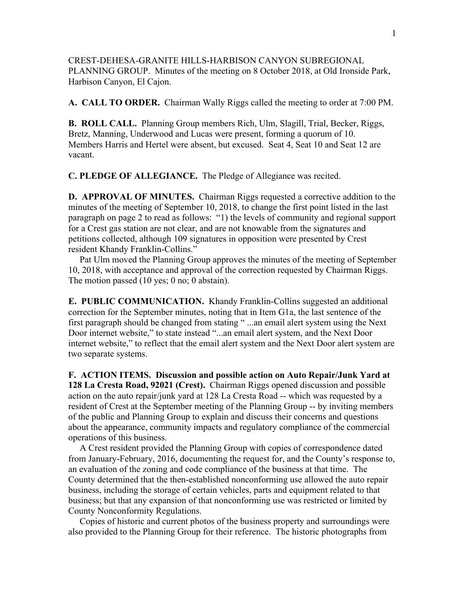CREST-DEHESA-GRANITE HILLS-HARBISON CANYON SUBREGIONAL PLANNING GROUP. Minutes of the meeting on 8 October 2018, at Old Ironside Park, Harbison Canyon, El Cajon.

**A. CALL TO ORDER.** Chairman Wally Riggs called the meeting to order at 7:00 PM.

**B. ROLL CALL.** Planning Group members Rich, Ulm, Slagill, Trial, Becker, Riggs, Bretz, Manning, Underwood and Lucas were present, forming a quorum of 10. Members Harris and Hertel were absent, but excused. Seat 4, Seat 10 and Seat 12 are vacant.

**C. PLEDGE OF ALLEGIANCE.** The Pledge of Allegiance was recited.

**D. APPROVAL OF MINUTES.** Chairman Riggs requested a corrective addition to the minutes of the meeting of September 10, 2018, to change the first point listed in the last paragraph on page 2 to read as follows: "1) the levels of community and regional support for a Crest gas station are not clear, and are not knowable from the signatures and petitions collected, although 109 signatures in opposition were presented by Crest resident Khandy Franklin-Collins."

 Pat Ulm moved the Planning Group approves the minutes of the meeting of September 10, 2018, with acceptance and approval of the correction requested by Chairman Riggs. The motion passed (10 yes; 0 no; 0 abstain).

**E. PUBLIC COMMUNICATION.** Khandy Franklin-Collins suggested an additional correction for the September minutes, noting that in Item G1a, the last sentence of the first paragraph should be changed from stating " ...an email alert system using the Next Door internet website," to state instead "...an email alert system, and the Next Door internet website," to reflect that the email alert system and the Next Door alert system are two separate systems.

**F. ACTION ITEMS. Discussion and possible action on Auto Repair/Junk Yard at 128 La Cresta Road, 92021 (Crest).** Chairman Riggs opened discussion and possible action on the auto repair/junk yard at 128 La Cresta Road -- which was requested by a resident of Crest at the September meeting of the Planning Group -- by inviting members of the public and Planning Group to explain and discuss their concerns and questions about the appearance, community impacts and regulatory compliance of the commercial operations of this business.

 A Crest resident provided the Planning Group with copies of correspondence dated from January-February, 2016, documenting the request for, and the County's response to, an evaluation of the zoning and code compliance of the business at that time. The County determined that the then-established nonconforming use allowed the auto repair business, including the storage of certain vehicles, parts and equipment related to that business; but that any expansion of that nonconforming use was restricted or limited by County Nonconformity Regulations.

 Copies of historic and current photos of the business property and surroundings were also provided to the Planning Group for their reference. The historic photographs from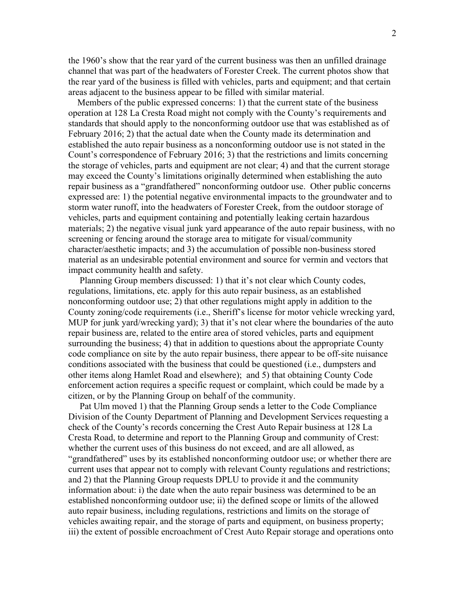the 1960's show that the rear yard of the current business was then an unfilled drainage channel that was part of the headwaters of Forester Creek. The current photos show that the rear yard of the business is filled with vehicles, parts and equipment; and that certain areas adjacent to the business appear to be filled with similar material.

 Members of the public expressed concerns: 1) that the current state of the business operation at 128 La Cresta Road might not comply with the County's requirements and standards that should apply to the nonconforming outdoor use that was established as of February 2016; 2) that the actual date when the County made its determination and established the auto repair business as a nonconforming outdoor use is not stated in the Count's correspondence of February 2016; 3) that the restrictions and limits concerning the storage of vehicles, parts and equipment are not clear; 4) and that the current storage may exceed the County's limitations originally determined when establishing the auto repair business as a "grandfathered" nonconforming outdoor use. Other public concerns expressed are: 1) the potential negative environmental impacts to the groundwater and to storm water runoff, into the headwaters of Forester Creek, from the outdoor storage of vehicles, parts and equipment containing and potentially leaking certain hazardous materials; 2) the negative visual junk yard appearance of the auto repair business, with no screening or fencing around the storage area to mitigate for visual/community character/aesthetic impacts; and 3) the accumulation of possible non-business stored material as an undesirable potential environment and source for vermin and vectors that impact community health and safety.

 Planning Group members discussed: 1) that it's not clear which County codes, regulations, limitations, etc. apply for this auto repair business, as an established nonconforming outdoor use; 2) that other regulations might apply in addition to the County zoning/code requirements (i.e., Sheriff's license for motor vehicle wrecking yard, MUP for junk yard/wrecking yard); 3) that it's not clear where the boundaries of the auto repair business are, related to the entire area of stored vehicles, parts and equipment surrounding the business; 4) that in addition to questions about the appropriate County code compliance on site by the auto repair business, there appear to be off-site nuisance conditions associated with the business that could be questioned (i.e., dumpsters and other items along Hamlet Road and elsewhere); and 5) that obtaining County Code enforcement action requires a specific request or complaint, which could be made by a citizen, or by the Planning Group on behalf of the community.

 Pat Ulm moved 1) that the Planning Group sends a letter to the Code Compliance Division of the County Department of Planning and Development Services requesting a check of the County's records concerning the Crest Auto Repair business at 128 La Cresta Road, to determine and report to the Planning Group and community of Crest: whether the current uses of this business do not exceed, and are all allowed, as "grandfathered" uses by its established nonconforming outdoor use; or whether there are current uses that appear not to comply with relevant County regulations and restrictions; and 2) that the Planning Group requests DPLU to provide it and the community information about: i) the date when the auto repair business was determined to be an established nonconforming outdoor use; ii) the defined scope or limits of the allowed auto repair business, including regulations, restrictions and limits on the storage of vehicles awaiting repair, and the storage of parts and equipment, on business property; iii) the extent of possible encroachment of Crest Auto Repair storage and operations onto